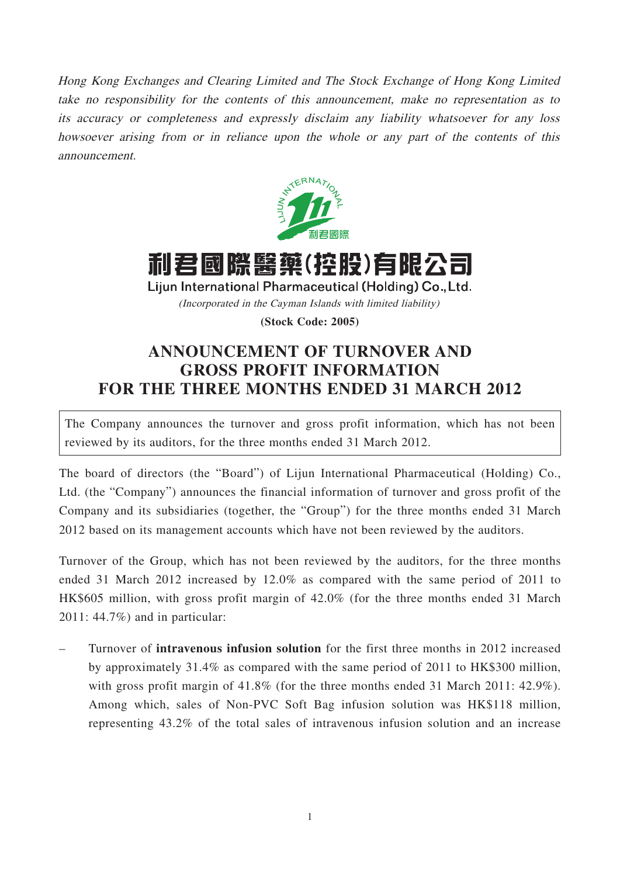Hong Kong Exchanges and Clearing Limited and The Stock Exchange of Hong Kong Limited take no responsibility for the contents of this announcement, make no representation as to its accuracy or completeness and expressly disclaim any liability whatsoever for any loss howsoever arising from or in reliance upon the whole or any part of the contents of this announcement.





Lijun International Pharmaceutical (Holding) Co., Ltd.

(Incorporated in the Cayman Islands with limited liability)

**(Stock Code: 2005)**

## **ANNOUNCEMENT OF TURNOVER AND GROSS PROFIT INFORMATION FOR THE THREE MONTHS ENDED 31 MARCH 2012**

The Company announces the turnover and gross profit information, which has not been reviewed by its auditors, for the three months ended 31 March 2012.

The board of directors (the "Board") of Lijun International Pharmaceutical (Holding) Co., Ltd. (the "Company") announces the financial information of turnover and gross profit of the Company and its subsidiaries (together, the "Group") for the three months ended 31 March 2012 based on its management accounts which have not been reviewed by the auditors.

Turnover of the Group, which has not been reviewed by the auditors, for the three months ended 31 March 2012 increased by 12.0% as compared with the same period of 2011 to HK\$605 million, with gross profit margin of 42.0% (for the three months ended 31 March 2011: 44.7%) and in particular:

– Turnover of **intravenous infusion solution** for the first three months in 2012 increased by approximately 31.4% as compared with the same period of 2011 to HK\$300 million, with gross profit margin of 41.8% (for the three months ended 31 March 2011: 42.9%). Among which, sales of Non-PVC Soft Bag infusion solution was HK\$118 million, representing 43.2% of the total sales of intravenous infusion solution and an increase